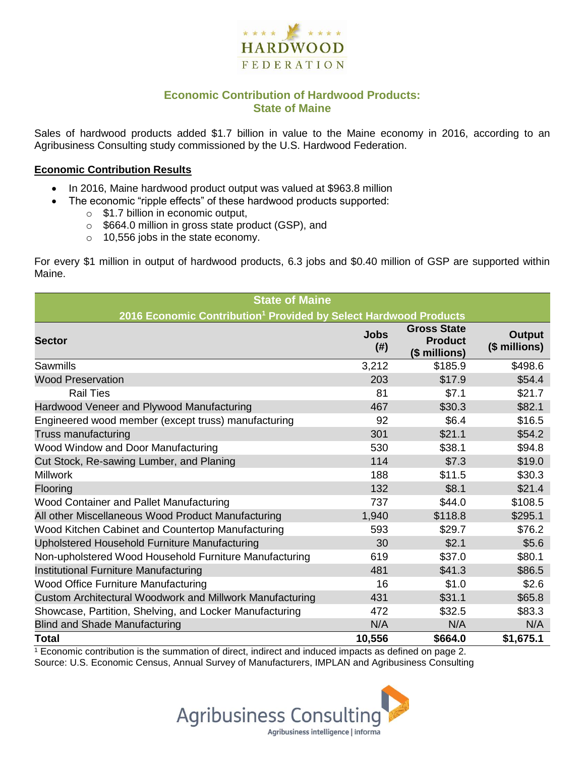

## **Economic Contribution of Hardwood Products: State of Maine**

Sales of hardwood products added \$1.7 billion in value to the Maine economy in 2016, according to an Agribusiness Consulting study commissioned by the U.S. Hardwood Federation.

#### **Economic Contribution Results**

- In 2016, Maine hardwood product output was valued at \$963.8 million
	- The economic "ripple effects" of these hardwood products supported:
		- o \$1.7 billion in economic output,
		- o \$664.0 million in gross state product (GSP), and
		- o 10,556 jobs in the state economy.

For every \$1 million in output of hardwood products, 6.3 jobs and \$0.40 million of GSP are supported within Maine.

| <b>State of Maine</b>                                                        |                          |                                                       |                                |  |  |  |
|------------------------------------------------------------------------------|--------------------------|-------------------------------------------------------|--------------------------------|--|--|--|
| 2016 Economic Contribution <sup>1</sup> Provided by Select Hardwood Products |                          |                                                       |                                |  |  |  |
| <b>Sector</b>                                                                | <b>Jobs</b><br>$($ # $)$ | <b>Gross State</b><br><b>Product</b><br>(\$ millions) | <b>Output</b><br>(\$ millions) |  |  |  |
| Sawmills                                                                     | 3,212                    | \$185.9                                               | \$498.6                        |  |  |  |
| <b>Wood Preservation</b>                                                     | 203                      | \$17.9                                                | \$54.4                         |  |  |  |
| <b>Rail Ties</b>                                                             | 81                       | \$7.1                                                 | \$21.7                         |  |  |  |
| Hardwood Veneer and Plywood Manufacturing                                    | 467                      | \$30.3                                                | \$82.1                         |  |  |  |
| Engineered wood member (except truss) manufacturing                          | 92                       | \$6.4                                                 | \$16.5                         |  |  |  |
| Truss manufacturing                                                          | 301                      | \$21.1                                                | \$54.2                         |  |  |  |
| Wood Window and Door Manufacturing                                           | 530                      | \$38.1                                                | \$94.8                         |  |  |  |
| Cut Stock, Re-sawing Lumber, and Planing                                     | 114                      | \$7.3                                                 | \$19.0                         |  |  |  |
| <b>Millwork</b>                                                              | 188                      | \$11.5                                                | \$30.3                         |  |  |  |
| Flooring                                                                     | 132                      | \$8.1                                                 | \$21.4                         |  |  |  |
| <b>Wood Container and Pallet Manufacturing</b>                               | 737                      | \$44.0                                                | \$108.5                        |  |  |  |
| All other Miscellaneous Wood Product Manufacturing                           | 1,940                    | \$118.8                                               | \$295.1                        |  |  |  |
| Wood Kitchen Cabinet and Countertop Manufacturing                            | 593                      | \$29.7                                                | \$76.2                         |  |  |  |
| Upholstered Household Furniture Manufacturing                                | 30                       | \$2.1                                                 | \$5.6                          |  |  |  |
| Non-upholstered Wood Household Furniture Manufacturing                       | 619                      | \$37.0                                                | \$80.1                         |  |  |  |
| Institutional Furniture Manufacturing                                        | 481                      | \$41.3                                                | \$86.5                         |  |  |  |
| <b>Wood Office Furniture Manufacturing</b>                                   | 16                       | \$1.0                                                 | \$2.6                          |  |  |  |
| Custom Architectural Woodwork and Millwork Manufacturing                     | 431                      | \$31.1                                                | \$65.8                         |  |  |  |
| Showcase, Partition, Shelving, and Locker Manufacturing                      | 472                      | \$32.5                                                | \$83.3                         |  |  |  |
| <b>Blind and Shade Manufacturing</b>                                         | N/A                      | N/A                                                   | N/A                            |  |  |  |
| <b>Total</b>                                                                 | 10,556                   | \$664.0                                               | \$1,675.1                      |  |  |  |

 $1$  Economic contribution is the summation of direct, indirect and induced impacts as defined on page 2. Source: U.S. Economic Census, Annual Survey of Manufacturers, IMPLAN and Agribusiness Consulting